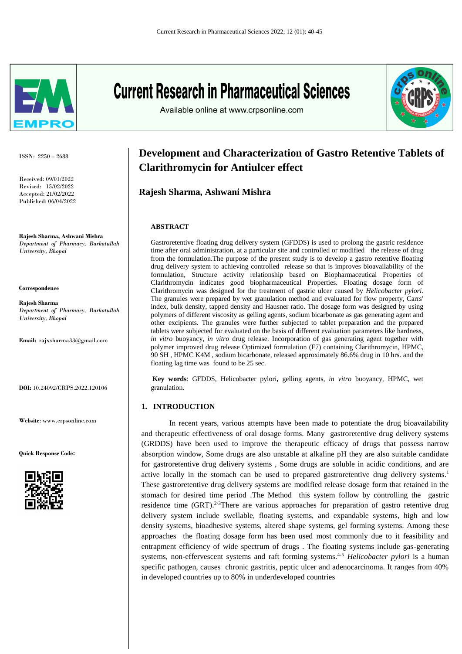

ISSN: 2250 – 2688

Received: 09/01/2022 Revised: 15/02/2022 Accepted: 21/02/2022 Published: 06/04/2022

**Rajesh Sharma, Ashwani Mishra** *Department of Pharmacy, Barkatullah University, Bhopal* 

**Correspondence**

**Rajesh Sharma** *Department of Pharmacy, Barkatullah University, Bhopal* 

**Email:** rajxsharma33@gmail.com

**DOI:** 10.24092/CRPS.2022.120106

**Website**: www.crpsonline.com

**Quick Response Code:**



# **Current Research in Pharmaceutical Sciences**

Available online at www.crpsonline.com



# **Development and Characterization of Gastro Retentive Tablets of Clarithromycin for Antiulcer effect**

**Rajesh Sharma, Ashwani Mishra** 

## **ABSTRACT**

Gastroretentive floating drug delivery system (GFDDS) is used to prolong the gastric residence time after oral administration, at a particular site and controlled or modified the release of drug from the formulation.The purpose of the present study is to develop a gastro retentive floating drug delivery system to achieving controlled release so that is improves bioavailability of the formulation, Structure activity relationship based on Biopharmaceutical Properties of Clarithromycin indicates good biopharmaceutical Properties. Floating dosage form of Clarithromycin was designed for the treatment of gastric ulcer caused by *Helicobacter pylori*. The granules were prepared by wet granulation method and evaluated for flow property, Carrs' index, bulk density, tapped density and Hausner ratio. The dosage form was designed by using polymers of different viscosity as gelling agents, sodium bicarbonate as gas generating agent and other excipients. The granules were further subjected to tablet preparation and the prepared tablets were subjected for evaluated on the basis of different evaluation parameters like hardness, *in vitro* buoyancy, *in vitro* drug release. Incorporation of gas generating agent together with polymer improved drug release Optimized formulation (F7) containing Clarithromycin, HPMC, 90 SH , HPMC K4M , sodium bicarbonate, released approximately 86.6% drug in 10 hrs. and the floating lag time was found to be 25 sec.

**Key words**: GFDDS, Helicobacter pylori**,** gelling agents, *in vitro* buoyancy, HPMC, wet granulation.

# **1. INTRODUCTION**

In recent years, various attempts have been made to potentiate the drug bioavailability and therapeutic effectiveness of oral dosage forms. Many gastroretentive drug delivery systems (GRDDS) have been used to improve the therapeutic efficacy of drugs that possess narrow absorption window, Some drugs are also unstable at alkaline pH they are also suitable candidate for gastroretentive drug delivery systems , Some drugs are soluble in acidic conditions, and are active locally in the stomach can be used to prepared gastroretentive drug delivery systems.<sup>1</sup> These gastroretentive drug delivery systems are modified release dosage form that retained in the stomach for desired time period .The Method this system follow by controlling the gastric residence time (GRT).2-3There are various approaches for preparation of gastro retentive drug delivery system include swellable, floating systems, and expandable systems, high and low density systems, bioadhesive systems, altered shape systems, gel forming systems. Among these approaches the floating dosage form has been used most commonly due to it feasibility and entrapment efficiency of wide spectrum of drugs . The floating systems include gas-generating systems, non-effervescent systems and raft forming systems. 4-5 *Helicobacter pylori* is a human specific pathogen, causes chronic gastritis, peptic ulcer and adenocarcinoma. It ranges from 40% in developed countries up to 80% in underdeveloped countries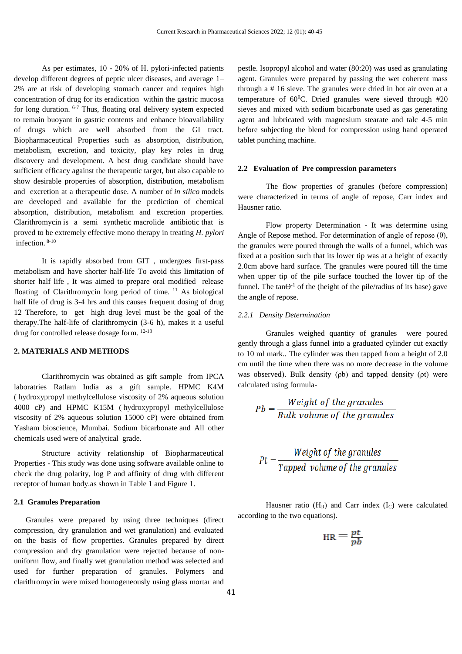As per estimates, 10 - 20% of H. pylori-infected patients develop different degrees of peptic ulcer diseases, and average 1– 2% are at risk of developing stomach cancer and requires high concentration of drug for its eradication within the gastric mucosa for long duration. 6-7 Thus, floating oral delivery system expected to remain buoyant in gastric contents and enhance bioavailability of drugs which are well absorbed from the GI tract. Biopharmaceutical Properties such as absorption, distribution, metabolism, excretion, and toxicity, play key roles in drug discovery and development. A best drug candidate should have sufficient efficacy against the therapeutic target, but also capable to show desirable properties of absorption, distribution, metabolism and excretion at a therapeutic dose. A number of *in silico* models are developed and available for the prediction of chemical absorption, distribution, metabolism and excretion properties. [Clarithromycin](https://www.sciencedirect.com/topics/pharmacology-toxicology-and-pharmaceutical-science/clarithromycin) is a semi synthetic [macrolide antibiotic](https://www.sciencedirect.com/topics/pharmacology-toxicology-and-pharmaceutical-science/macrolide) that is proved to be extremely effective [mono therapy](https://www.sciencedirect.com/topics/pharmacology-toxicology-and-pharmaceutical-science/monotherapy) in treating *H. pylori*  infection. 8-10

It is rapidly absorbed from GIT , undergoes first-pass metabolism and have shorter half-life To avoid this limitation of shorter half life , It was aimed to prepare oral modified release floating of Clarithromycin long period of time. <sup>11</sup> As biological half life of drug is 3-4 hrs and this causes frequent dosing of drug 12 Therefore, to get high drug level must be the goal of the therapy.The half-life of clarithromycin (3-6 h), makes it a useful drug for controlled release dosage form. 12-13

#### **2. MATERIALS AND METHODS**

Clarithromycin was obtained as gift sample from IPCA laboratries Ratlam India as a gift sample. HPMC K4M ( hydroxypropyl methylcellulose viscosity of 2% aqueous solution 4000 cP) and HPMC K15M ( hydroxypropyl methylcellulose viscosity of 2% aqueous solution 15000 cP) were obtained from Yasham bioscience, Mumbai. Sodium bicarbonate and All other chemicals used were of analytical grade.

Structure activity relationship of Biopharmaceutical Properties - This study was done using software available online to check the drug polarity, log P and affinity of drug with different receptor of human body.as shown in Table 1 and Figure 1.

#### **2.1 Granules Preparation**

 Granules were prepared by using three techniques (direct compression, dry granulation and wet granulation) and evaluated on the basis of flow properties. Granules prepared by direct compression and dry granulation were rejected because of nonuniform flow, and finally wet granulation method was selected and used for further preparation of granules. Polymers and clarithromycin were mixed homogeneously using glass mortar and pestle. Isopropyl alcohol and water (80:20) was used as granulating agent. Granules were prepared by passing the wet coherent mass through a # 16 sieve. The granules were dried in hot air oven at a temperature of  $60^{\circ}$ C. Dried granules were sieved through #20 sieves and mixed with sodium bicarbonate used as gas generating agent and lubricated with magnesium stearate and talc 4-5 min before subjecting the blend for compression using hand operated tablet punching machine.

# **2.2 Evaluation of Pre compression parameters**

 The flow properties of granules (before compression) were characterized in terms of angle of repose, Carr index and Hausner ratio.

Flow property Determination - It was determine using Angle of Repose method. For determination of angle of repose  $(\theta)$ , the granules were poured through the walls of a funnel, which was fixed at a position such that its lower tip was at a height of exactly 2.0cm above hard surface. The granules were poured till the time when upper tip of the pile surface touched the lower tip of the funnel. The tan $\Theta^{-1}$  of the (height of the pile/radius of its base) gave the angle of repose.

#### *2.2.1 Density Determination*

 Granules weighed quantity of granules were poured gently through a glass funnel into a graduated cylinder cut exactly to 10 ml mark.. The cylinder was then tapped from a height of 2.0 cm until the time when there was no more decrease in the volume was observed). Bulk density (ρb) and tapped density (ρt) were calculated using formula-

$$
Pb = \frac{Weight\ of\ the\ granules}{Bulk\ volume\ of\ the\ granules}
$$

$$
Pt = \frac{Weight\ of\ the\ granules}{Tapped\ volume\ of\ the\ granules}
$$

Hausner ratio  $(H_R)$  and Carr index  $(I_C)$  were calculated according to the two equations).

$$
_{\rm HR} = \frac{pt}{pb}
$$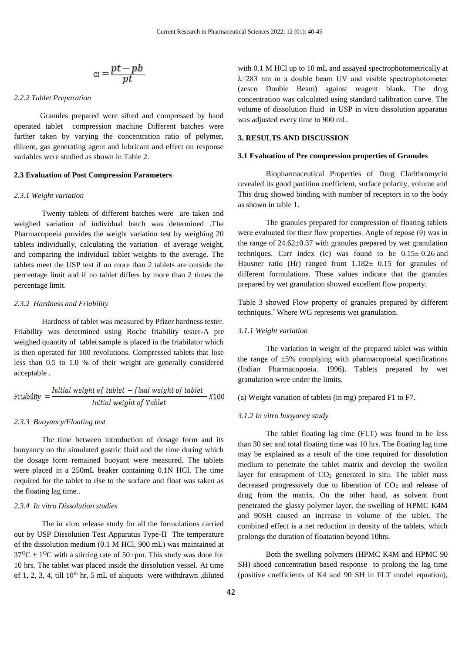$$
_{Cl}=\frac{pt-pb}{pt}
$$

# *2.2.2 Tablet Preparation*

 Granules prepared were sifted and compressed by hand operated tablet compression machine Different batches were further taken by varying the concentration ratio of polymer, diluent, gas generating agent and lubricant and effect on response variables were studied as shown in Table 2.

# **2.3 Evaluation of Post Compression Parameters**

#### *2.3.1 Weight variation*

Twenty tablets of different batches were are taken and weighed variation of individual batch was determined .The Pharmacopoeia provides the weight variation test by weighing 20 tablets individually, calculating the variation of average weight, and comparing the individual tablet weights to the average. The tablets meet the USP test if no more than 2 tablets are outside the percentage limit and if no tablet differs by more than 2 times the percentage limit.

# *2.3.2 Hardness and Friability*

 Hardness of tablet was measured by Pfizer hardness tester. Friability was determined using Roche friability tester-A pre weighed quantity of tablet sample is placed in the friabilator which is then operated for 100 revolutions. Compressed tablets that lose less than 0.5 to 1.0 % of their weight are generally considered acceptable .

$$
Friability = \frac{Initial\ weight\ of\ tablet - final\ weight\ of\ tablet}{Initial\ weight\ of\ Tablet} \times 100
$$

#### *2.3.3 Buoyancy/Floating test*

 The time between introduction of dosage form and its buoyancy on the simulated gastric fluid and the time during which the dosage form remained buoyant were measured. The tablets were placed in a 250mL beaker containing 0.1N HCl. The time required for the tablet to rise to the surface and float was taken as the floating lag time..

# *2.3.4 In vitro Dissolution studies*

 The in vitro release study for all the formulations carried out by USP Dissolution Test Apparatus Type-II The temperature of the dissolution medium (0.1 M HCl, 900 mL) was maintained at  $37^{\circ}C \pm 1^{\circ}C$  with a stirring rate of 50 rpm. This study was done for 10 hrs. The tablet was placed inside the dissolution vessel. At time of 1, 2, 3, 4, till  $10^{th}$  hr, 5 mL of aliquots were withdrawn ,diluted with 0.1 M HCl up to 10 mL and assayed spectrophotometrically at λ=283 nm in a double beam UV and visible spectrophotometer (zesco Double Beam) against reagent blank. The drug concentration was calculated using standard calibration curve. The volume of dissolution fluid in USP in vitro dissolution apparatus was adjusted every time to 900 mL.

# **3. RESULTS AND DISCUSSION**

#### **3.1 Evaluation of Pre compression properties of Granules**

 Biopharmaceutical Properties of Drug Clarithromycin revealed its good partition coefficient, surface polarity, volume and This drug showed binding with number of receptors in to the body as shown in table 1.

The granules prepared for compression of floating tablets were evaluated for their flow properties. Angle of repose  $(\theta)$  was in the range of  $24.62 \pm 0.37$  with granules prepared by wet granulation techniques. Carr index (Ic) was found to be  $0.15 \pm 0.26$  and Hausner ratio (Hr) ranged from  $1.182 \pm 0.15$  for granules of different formulations. These values indicate that the granules prepared by wet granulation showed excellent flow property.

Table 3 showed Flow property of granules prepared by different techniques.\* Where WG represents wet granulation.

#### *3.1.1 Weight variation*

 The variation in weight of the prepared tablet was within the range of  $\pm 5\%$  complying with pharmacopoeial specifications (Indian Pharmacopoeia. 1996). Tablets prepared by wet granulation were under the limits.

(a) Weight variation of tablets (in mg) prepared F1 to F7.

#### *3.1.2 In vitro buoyancy study*

 The tablet floating lag time (FLT) was found to be less than 30 sec and total floating time was 10 hrs. The floating lag time may be explained as a result of the time required for dissolution medium to penetrate the tablet matrix and develop the swollen layer for entrapment of  $CO<sub>2</sub>$  generated in situ. The tablet mass decreased progressively due to liberation of  $CO<sub>2</sub>$  and release of drug from the matrix. On the other hand, as solvent front penetrated the glassy polymer layer, the swelling of HPMC K4M and 90SH caused an increase in volume of the tablet. The combined effect is a net reduction in density of the tablets, which prolongs the duration of floatation beyond 10hrs.

 Both the swelling polymers (HPMC K4M and HPMC 90 SH) shoed concentration based response to prolong the lag time (positive coefficients of K4 and 90 SH in FLT model equation),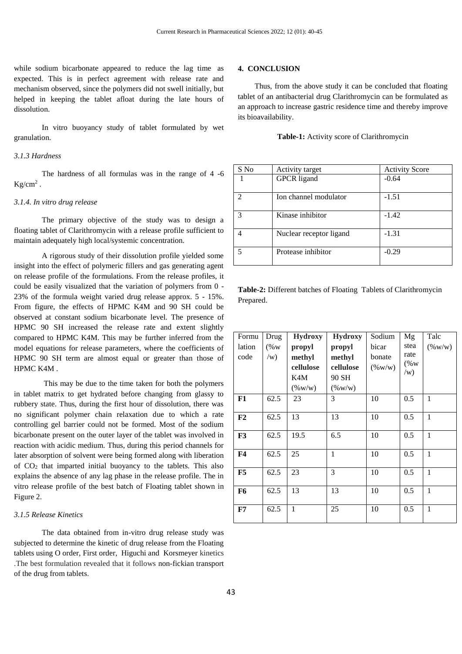while sodium bicarbonate appeared to reduce the lag time as expected. This is in perfect agreement with release rate and mechanism observed, since the polymers did not swell initially, but helped in keeping the tablet afloat during the late hours of dissolution.

In vitro buoyancy study of tablet formulated by wet granulation.

#### *3.1.3 Hardness*

The hardness of all formulas was in the range of 4 -6  $Kg/cm<sup>2</sup>$ .

#### *3.1.4. In vitro drug release*

 The primary objective of the study was to design a floating tablet of Clarithromycin with a release profile sufficient to maintain adequately high local/systemic concentration.

 A rigorous study of their dissolution profile yielded some insight into the effect of polymeric fillers and gas generating agent on release profile of the formulations. From the release profiles, it could be easily visualized that the variation of polymers from 0 - 23% of the formula weight varied drug release approx. 5 - 15%. From figure, the effects of HPMC K4M and 90 SH could be observed at constant sodium bicarbonate level. The presence of HPMC 90 SH increased the release rate and extent slightly compared to HPMC K4M. This may be further inferred from the model equations for release parameters, where the coefficients of HPMC 90 SH term are almost equal or greater than those of HPMC K4M .

 This may be due to the time taken for both the polymers in tablet matrix to get hydrated before changing from glassy to rubbery state. Thus, during the first hour of dissolution, there was no significant polymer chain relaxation due to which a rate controlling gel barrier could not be formed. Most of the sodium bicarbonate present on the outer layer of the tablet was involved in reaction with acidic medium. Thus, during this period channels for later absorption of solvent were being formed along with liberation of  $CO<sub>2</sub>$  that imparted initial buoyancy to the tablets. This also explains the absence of any lag phase in the release profile. The in vitro release profile of the best batch of Floating tablet shown in Figure 2.

#### *3.1.5 Release Kinetics*

 The data obtained from in-vitro drug release study was subjected to determine the kinetic of drug release from the Floating tablets using O order, First order, Higuchi and Korsmeyer kinetics .The best formulation revealed that it follows non-fickian transport of the drug from tablets.

# **4. CONCLUSION**

 Thus, from the above study it can be concluded that floating tablet of an antibacterial drug Clarithromycin can be formulated as an approach to increase gastric residence time and thereby improve its bioavailability.

**Table-1:** Activity score of Clarithromycin

| S No                        | Activity target         | <b>Activity Score</b> |
|-----------------------------|-------------------------|-----------------------|
|                             | <b>GPCR</b> ligand      | $-0.64$               |
| $\mathcal{D}_{\mathcal{L}}$ | Ion channel modulator   | $-1.51$               |
| $\mathcal{R}$               | Kinase inhibitor        | $-1.42$               |
|                             | Nuclear receptor ligand | $-1.31$               |
| $\overline{5}$              | Protease inhibitor      | $-0.29$               |

**Table-2:** Different batches of Floating Tablets of Clarithromycin Prepared.

| Formu          | Drug    | <b>Hydroxy</b> | <b>Hydroxy</b> | Sodium    | Mg      | Talc         |
|----------------|---------|----------------|----------------|-----------|---------|--------------|
| lation         | $(\%$ W | propyl         | propyl         | bicar     | stea    | $(\% w/w)$   |
| code           | (w)     | methyl         | methyl         | bonate    | rate    |              |
|                |         | cellulose      | cellulose      | $(\%w/w)$ | $(\%$ W |              |
|                |         | K4M            | 90 SH          |           | (w)     |              |
|                |         | $(\% w/w)$     | $(\% w/w)$     |           |         |              |
| F1             | 62.5    | 23             | 3              | 10        | 0.5     | 1            |
| F <sub>2</sub> | 62.5    | 13             | 13             | 10        | 0.5     | $\mathbf{1}$ |
| F3             | 62.5    | 19.5           | 6.5            | 10        | 0.5     | 1            |
| F <sub>4</sub> | 62.5    | 25             | $\mathbf{1}$   | 10        | 0.5     | $\mathbf{1}$ |
| F5             | 62.5    | 23             | 3              | 10        | 0.5     | $\mathbf{1}$ |
| F6             | 62.5    | 13             | 13             | 10        | 0.5     | $\mathbf{1}$ |
| ${\bf F7}$     | 62.5    | 1              | 25             | 10        | 0.5     | 1            |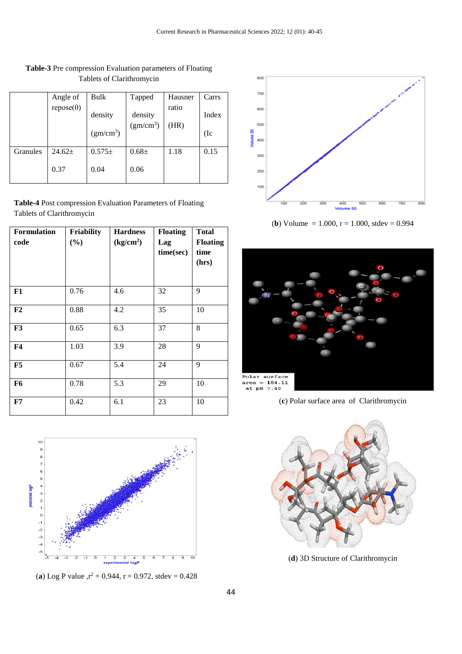|          | Angle of         | Bulk                             | Tapped                           | Hausner       | Carrs         |
|----------|------------------|----------------------------------|----------------------------------|---------------|---------------|
|          | $repose(\theta)$ | density<br>(gm/cm <sup>3</sup> ) | density<br>(gm/cm <sup>3</sup> ) | ratio<br>(HR) | Index<br>(Ic) |
| Granules | $24.62+$         | $0.575\pm$                       | $0.68 \pm$                       | 1.18          | 0.15          |
|          | 0.37             | 0.04                             | 0.06                             |               |               |

# **Table-3** Pre compression Evaluation parameters of Floating Tablets of Clarithromycin

**Table-4** Post compression Evaluation Parameters of Floating Tablets of Clarithromycin

| <b>Formulation</b><br>code | <b>Friability</b><br>(%) | <b>Hardness</b><br>(kg/cm <sup>2</sup> ) | <b>Floating</b><br>Lag<br>time(sec) | <b>Total</b><br><b>Floating</b><br>time<br>(hrs) |
|----------------------------|--------------------------|------------------------------------------|-------------------------------------|--------------------------------------------------|
| F1                         | 0.76                     | 4.6                                      | 32                                  | 9                                                |
| F2                         | 0.88                     | 4.2                                      | 35                                  | 10                                               |
| F3                         | 0.65                     | 6.3                                      | 37                                  | 8                                                |
| F <sub>4</sub>             | 1.03                     | 3.9                                      | 28                                  | 9                                                |
| F5                         | 0.67                     | 5.4                                      | 24                                  | 9                                                |
| F <sub>6</sub>             | 0.78                     | 5.3                                      | 29                                  | 10                                               |
| ${\bf F7}$                 | 0.42                     | 6.1                                      | 23                                  | 10                                               |



(**a**) Log P value  $r^2 = 0.944$ ,  $r = 0.972$ , stdev = 0.428



(**b**) Volume = 1.000,  $r = 1.000$ , stdev = 0.994



(**c**) Polar surface area of Clarithromycin



(**d**) 3D Structure of Clarithromycin